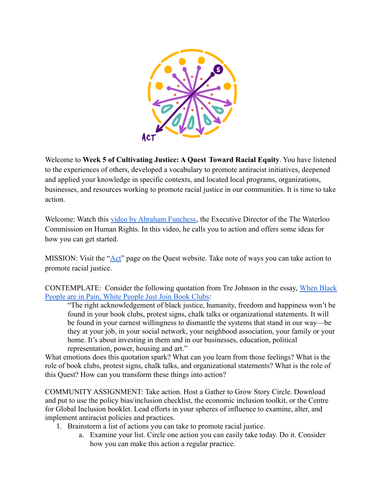

Welcome to **Week 5 of Cultivating Justice: A Quest Toward Racial Equity**. You have listened to the experiences of others, developed a vocabulary to promote antiracist initiatives, deepened and applied your knowledge in specific contexts, and located local programs, organizations, businesses, and resources working to promote racial justice in our communities. It is time to take action.

Welcome: Watch this [video by Abraham Funchess](https://youtu.be/1osHO85ChEk), the Executive Director of the The Waterloo Commission on Human Rights. In this video, he calls you to action and offers some ideas for how you can get started.

MISSION: Visit the ["Act"](https://quest.uni.edu/advocate) page on the Quest website. Take note of ways you can take action to promote racial justice.

CONTEMPLATE: Consider the following quotation from Tre Johnson in the essay, [When Black](https://www.washingtonpost.com/outlook/white-antiracist-allyship-book-clubs/2020/06/11/9edcc766-abf5-11ea-94d2-d7bc43b26bf9_story.html) [People are in Pain, White People Just Join Book Clubs:](https://www.washingtonpost.com/outlook/white-antiracist-allyship-book-clubs/2020/06/11/9edcc766-abf5-11ea-94d2-d7bc43b26bf9_story.html)

"The right acknowledgement of black justice, humanity, freedom and happiness won't be found in your book clubs, protest signs, chalk talks or organizational statements. It will be found in your earnest willingness to dismantle the systems that stand in our way—be they at your job, in your social network, your neighbood association, your family or your home. It's about investing in them and in our businesses, education, political representation, power, housing and art."

What emotions does this quotation spark? What can you learn from those feelings? What is the role of book clubs, protest signs, chalk talks, and organizational statements? What is the role of this Quest? How can you transform these things into action?

COMMUNITY ASSIGNMENT: Take action. Host a Gather to Grow Story Circle. Download and put to use the policy bias/inclusion checklist, the economic inclusion toolkit, or the Centre for Global Inclusion booklet. Lead efforts in your spheres of influence to examine, alter, and implement antiracist policies and practices.

- 1. Brainstorm a list of actions you can take to promote racial justice.
	- a. Examine your list. Circle one action you can easily take today. Do it. Consider how you can make this action a regular practice.